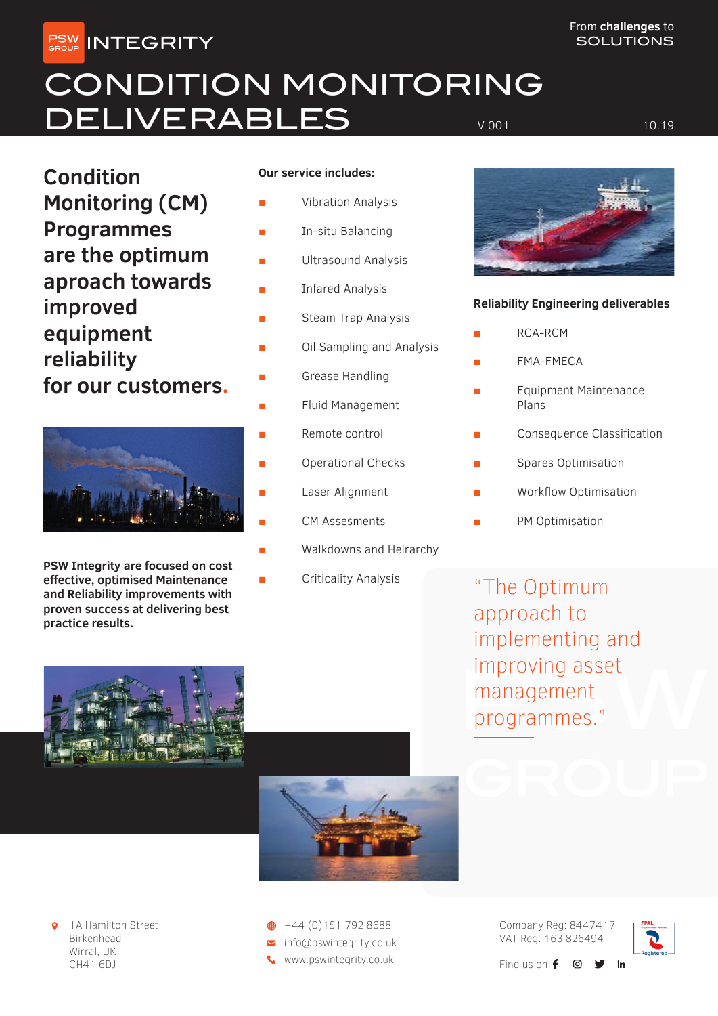**PSW INTEGRITY** 

## CONDITION MONITORING DELIVERABLES VOOT ALLES

**Condition Monitoring (CM) Programmes are the optimum aproach towards improved equipment reliability** 

**for our customers.**



**PSW Integrity are focused on cost effective, optimised Maintenance and Reliability improvements with proven success at delivering best practice results.**

### **Our service includes:**

- **Vibration Analysis**
- In-situ Balancing
- Ultrasound Analysis
- **Infared Analysis**
- **Steam Trap Analysis**
- Oil Sampling and Analysis
- Grease Handling
- Fluid Management
- Remote control
- Operational Checks
- Laser Alignment
- CM Assesments
- Walkdowns and Heirarchy
- Criticality Analysis

### **Reliability Engineering deliverables**

- RCA-RCM
- FMA-FMECA
- **Equipment Maintenance** Plans
- Consequence Classification
- Spares Optimisation
- Workflow Optimisation
- PM Optimisation

"The Optimum approach to implementing and improving asset management programmes."



1A Hamilton Street Birkenhead Wirral, UK CH41 6DJ

nfo@pswintegrity.co.uk www.pswintegrity.co.uk  $\bigoplus$  +44 (0)151 792 8688

Company Reg: 8447417 VAT Reg: 163 826494



in

Find us on:  $f \circ$